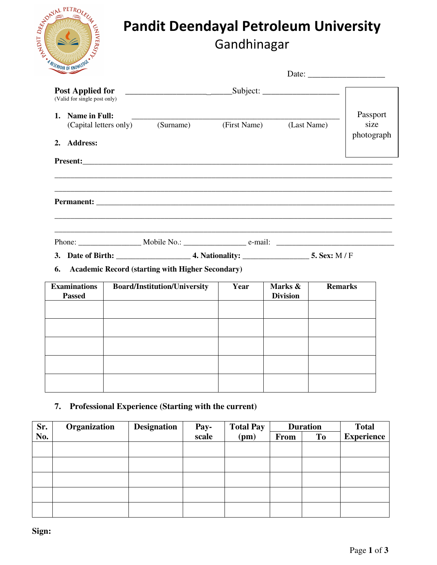|     | STATISTICS AND PETROLEUM |        |
|-----|--------------------------|--------|
|     |                          |        |
| EQL |                          | MIVERS |
|     | A RESERVOIR OF KNOWLEDGE |        |

# Pandit Deendayal Petroleum University Gandhinagar

| <b>UNITED STATES</b>                                                |                                                         |              |                            |                                |
|---------------------------------------------------------------------|---------------------------------------------------------|--------------|----------------------------|--------------------------------|
| <b>Post Applied for</b><br>(Valid for single post only)             | Subject:                                                |              |                            |                                |
| <b>Name in Full:</b><br>1.<br>(Capital letters only)<br>2. Address: | (Surname)                                               | (First Name) | (Last Name)                | Passport<br>size<br>photograph |
|                                                                     |                                                         |              |                            |                                |
|                                                                     |                                                         |              |                            |                                |
|                                                                     |                                                         |              |                            |                                |
| 6.                                                                  | <b>Academic Record (starting with Higher Secondary)</b> |              |                            |                                |
| <b>Examinations</b><br><b>Passed</b>                                | <b>Board/Institution/University</b>                     | Year         | Marks &<br><b>Division</b> | <b>Remarks</b>                 |
|                                                                     |                                                         |              |                            |                                |
|                                                                     |                                                         |              |                            |                                |
|                                                                     |                                                         |              |                            |                                |

## **7. Professional Experience (Starting with the current)**

| Sr. | Organization | <b>Designation</b> | Pay-  | <b>Total Pay</b> | <b>Duration</b> |                | <b>Total</b>      |
|-----|--------------|--------------------|-------|------------------|-----------------|----------------|-------------------|
| No. |              |                    | scale | (pm)             | <b>From</b>     | T <sub>0</sub> | <b>Experience</b> |
|     |              |                    |       |                  |                 |                |                   |
|     |              |                    |       |                  |                 |                |                   |
|     |              |                    |       |                  |                 |                |                   |
|     |              |                    |       |                  |                 |                |                   |
|     |              |                    |       |                  |                 |                |                   |
|     |              |                    |       |                  |                 |                |                   |

**Sign:**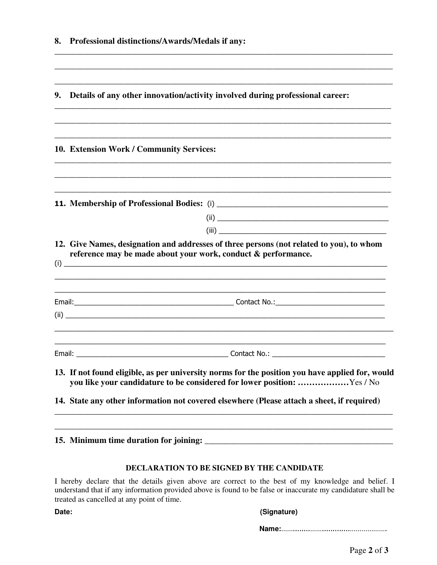| 8.     | Professional distinctions/Awards/Medals if any:                                                                                                                                                                                                                          |
|--------|--------------------------------------------------------------------------------------------------------------------------------------------------------------------------------------------------------------------------------------------------------------------------|
| 9.     | Details of any other innovation/activity involved during professional career:                                                                                                                                                                                            |
|        | 10. Extension Work / Community Services:                                                                                                                                                                                                                                 |
|        |                                                                                                                                                                                                                                                                          |
|        | 12. Give Names, designation and addresses of three persons (not related to you), to whom<br>reference may be made about your work, conduct & performance.                                                                                                                |
|        |                                                                                                                                                                                                                                                                          |
| Email: | Contact No.:                                                                                                                                                                                                                                                             |
|        | 13. If not found eligible, as per university norms for the position you have applied for, would<br>you like your candidature to be considered for lower position: Yes / No<br>14. State any other information not covered elsewhere (Please attach a sheet, if required) |
|        |                                                                                                                                                                                                                                                                          |

**15. Minimum time duration for joining: \_\_\_\_\_\_\_\_\_\_\_\_\_\_\_\_\_\_\_\_\_\_\_\_\_\_\_\_\_\_\_\_\_\_\_\_\_\_\_\_\_\_\_\_** 

#### **DECLARATION TO BE SIGNED BY THE CANDIDATE**

I hereby declare that the details given above are correct to the best of my knowledge and belief. I understand that if any information provided above is found to be false or inaccurate my candidature shall be treated as cancelled at any point of time.

#### Date: (Signature)

 **Name:**……........…….............……………….